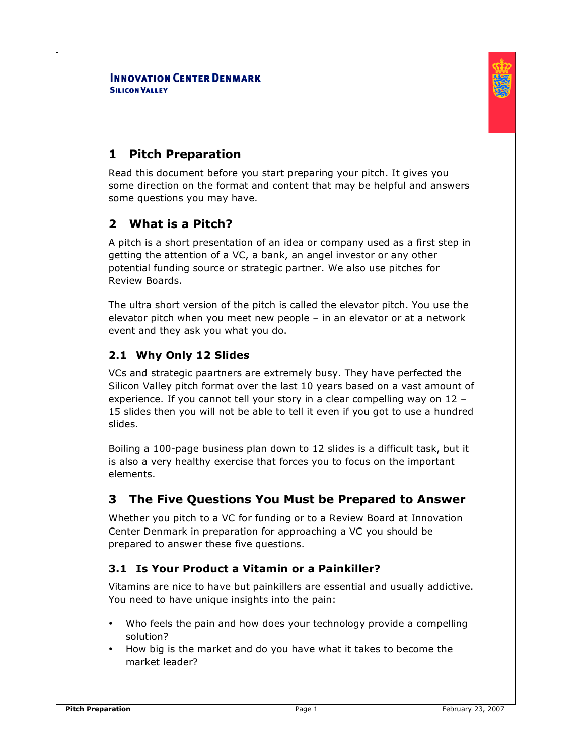#### **INNOVATION CENTER DENMARK SILICON VALLEY**



# **1 Pitch Preparation**

Read this document before you start preparing your pitch. It gives you some direction on the format and content that may be helpful and answers some questions you may have.

# **2 What is a Pitch?**

A pitch is a short presentation of an idea or company used as a first step in getting the attention of a VC, a bank, an angel investor or any other potential funding source or strategic partner. We also use pitches for Review Boards.

The ultra short version of the pitch is called the elevator pitch. You use the elevator pitch when you meet new people – in an elevator or at a network event and they ask you what you do.

## **2.1 Why Only 12 Slides**

VCs and strategic paartners are extremely busy. They have perfected the Silicon Valley pitch format over the last 10 years based on a vast amount of experience. If you cannot tell your story in a clear compelling way on 12 – 15 slides then you will not be able to tell it even if you got to use a hundred slides.

Boiling a 100-page business plan down to 12 slides is a difficult task, but it is also a very healthy exercise that forces you to focus on the important elements.

## **3 The Five Questions You Must be Prepared to Answer**

Whether you pitch to a VC for funding or to a Review Board at Innovation Center Denmark in preparation for approaching a VC you should be prepared to answer these five questions.

## **3.1 Is Your Product a Vitamin or a Painkiller?**

Vitamins are nice to have but painkillers are essential and usually addictive. You need to have unique insights into the pain:

- Who feels the pain and how does your technology provide a compelling solution?
- How big is the market and do you have what it takes to become the market leader?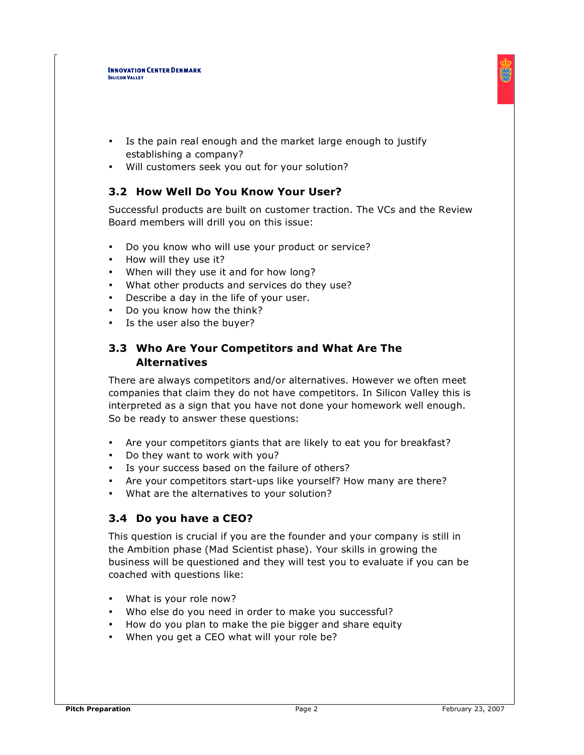- Is the pain real enough and the market large enough to justify establishing a company?
- Will customers seek you out for your solution?

#### **3.2 How Well Do You Know Your User?**

Successful products are built on customer traction. The VCs and the Review Board members will drill you on this issue:

- Do you know who will use your product or service?
- How will they use it?
- When will they use it and for how long?
- What other products and services do they use?
- Describe a day in the life of your user.
- Do you know how the think?
- Is the user also the buyer?

### **3.3 Who Are Your Competitors and What Are The Alternatives**

There are always competitors and/or alternatives. However we often meet companies that claim they do not have competitors. In Silicon Valley this is interpreted as a sign that you have not done your homework well enough. So be ready to answer these questions:

- Are your competitors giants that are likely to eat you for breakfast?
- Do they want to work with you?
- Is your success based on the failure of others?
- Are your competitors start-ups like yourself? How many are there?
- What are the alternatives to your solution?

#### **3.4 Do you have a CEO?**

This question is crucial if you are the founder and your company is still in the Ambition phase (Mad Scientist phase). Your skills in growing the business will be questioned and they will test you to evaluate if you can be coached with questions like:

- What is your role now?
- Who else do you need in order to make you successful?
- How do you plan to make the pie bigger and share equity
- When you get a CEO what will your role be?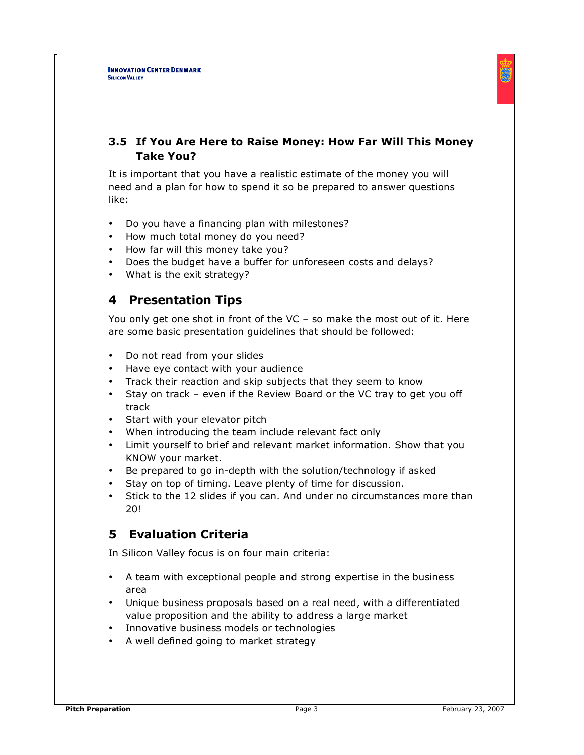## **3.5 If You Are Here to Raise Money: How Far Will This Money Take You?**

It is important that you have a realistic estimate of the money you will need and a plan for how to spend it so be prepared to answer questions like:

- Do you have a financing plan with milestones?
- How much total money do you need?
- How far will this money take you?
- Does the budget have a buffer for unforeseen costs and delays?
- What is the exit strategy?

## **4 Presentation Tips**

You only get one shot in front of the VC – so make the most out of it. Here are some basic presentation guidelines that should be followed:

- Do not read from your slides
- Have eye contact with your audience
- Track their reaction and skip subjects that they seem to know
- Stay on track even if the Review Board or the VC tray to get you off track
- Start with your elevator pitch
- When introducing the team include relevant fact only
- Limit yourself to brief and relevant market information. Show that you KNOW your market.
- Be prepared to go in-depth with the solution/technology if asked
- Stay on top of timing. Leave plenty of time for discussion.
- Stick to the 12 slides if you can. And under no circumstances more than 20!

## **5 Evaluation Criteria**

In Silicon Valley focus is on four main criteria:

- A team with exceptional people and strong expertise in the business area
- Unique business proposals based on a real need, with a differentiated value proposition and the ability to address a large market
- Innovative business models or technologies
- A well defined going to market strategy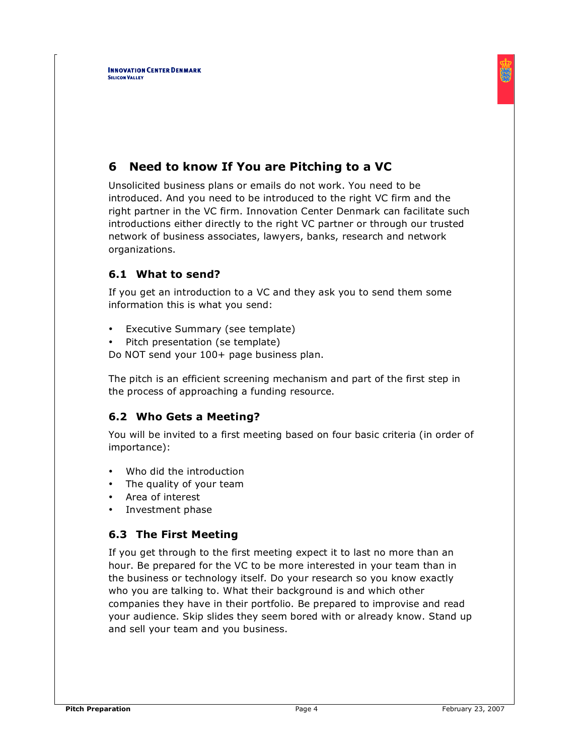

# **6 Need to know If You are Pitching to a VC**

Unsolicited business plans or emails do not work. You need to be introduced. And you need to be introduced to the right VC firm and the right partner in the VC firm. Innovation Center Denmark can facilitate such introductions either directly to the right VC partner or through our trusted network of business associates, lawyers, banks, research and network organizations.

## **6.1 What to send?**

If you get an introduction to a VC and they ask you to send them some information this is what you send:

- Executive Summary (see template)
- Pitch presentation (se template)

Do NOT send your 100+ page business plan.

The pitch is an efficient screening mechanism and part of the first step in the process of approaching a funding resource.

#### **6.2 Who Gets a Meeting?**

You will be invited to a first meeting based on four basic criteria (in order of importance):

- Who did the introduction
- The quality of your team
- Area of interest
- Investment phase

#### **6.3 The First Meeting**

If you get through to the first meeting expect it to last no more than an hour. Be prepared for the VC to be more interested in your team than in the business or technology itself. Do your research so you know exactly who you are talking to. What their background is and which other companies they have in their portfolio. Be prepared to improvise and read your audience. Skip slides they seem bored with or already know. Stand up and sell your team and you business.